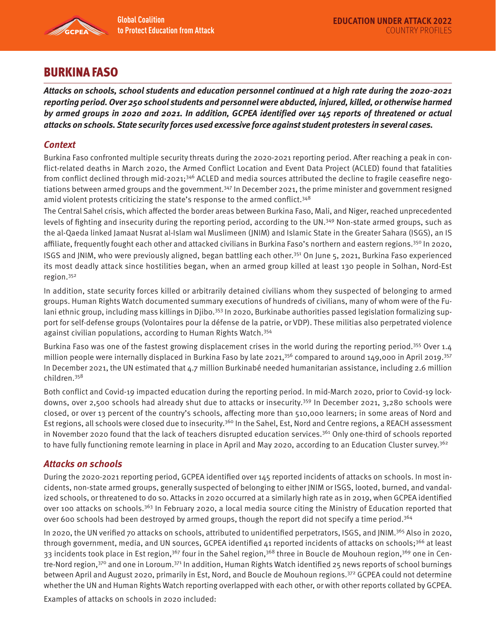

# BURKINA FASO

**Attacks on schools, school students and education personnel continued at a high rate during the 2020-2021 reporting period. Over 250 school students and personnel were abducted, injured, killed, or otherwise harmed by armed groups in 2020 and 2021. In addition, GCPEA identified over 145 reports of threatened or actual attacks on schools. State security forces used excessive force against student protesters in several cases.** 

# **Context**

Burkina Faso confronted multiple security threats during the 2020-2021 reporting period. After reaching a peak in conflict-related deaths in March 2020, the Armed Conflict Location and Event Data Project (ACLED) found that fatalities from conflict declined through mid-2021;<sup>346</sup> ACLED and media sources attributed the decline to fragile ceasefire negotiations between armed groups and the government.<sup>347</sup> In December 2021, the prime minister and government resigned amid violent protests criticizing the state's response to the armed conflict.<sup>348</sup>

The Central Sahel crisis, which affected the border areas between Burkina Faso, Mali, and Niger, reached unprecedented levels of fighting and insecurity during the reporting period, according to the UN.<sup>349</sup> Non-state armed groups, such as the al-Qaeda linked Jamaat Nusrat al-Islam wal Muslimeen (JNIM) and Islamic State in the Greater Sahara (ISGS), an IS affiliate, frequently fought each other and attacked civilians in Burkina Faso's northern and eastern regions.<sup>350</sup> In 2020, ISGS and JNIM, who were previously aligned, began battling each other.351 On June 5, 2021, Burkina Faso experienced its most deadly attack since hostilities began, when an armed group killed at least 130 people in Solhan, Nord-Est region.352

In addition, state security forces killed or arbitrarily detained civilians whom they suspected of belonging to armed groups. Human Rights Watch documented summary executions of hundreds of civilians, many of whom were of the Fulani ethnic group, including mass killings in Djibo.<sup>353</sup> In 2020, Burkinabe authorities passed legislation formalizing support for self-defense groups (Volontaires pour la défense de la patrie, or VDP). These militias also perpetrated violence against civilian populations, according to Human Rights Watch.354

Burkina Faso was one of the fastest growing displacement crises in the world during the reporting period.<sup>355</sup> Over 1.4 million people were internally displaced in Burkina Faso by late 2021,<sup>356</sup> compared to around 149,000 in April 2019.<sup>357</sup> In December 2021, the UN estimated that 4.7 million Burkinabé needed humanitarian assistance, including 2.6 million children.358

Both conflict and Covid-19 impacted education during the reporting period. In mid-March 2020, prior to Covid-19 lockdowns, over 2,500 schools had already shut due to attacks or insecurity.359 In December 2021, 3,280 schools were closed, or over 13 percent of the country's schools, affecting more than 510,000 learners; in some areas of Nord and Est regions, all schools were closed due to insecurity.<sup>360</sup> In the Sahel, Est, Nord and Centre regions, a REACH assessment in November 2020 found that the lack of teachers disrupted education services.<sup>361</sup> Only one-third of schools reported to have fully functioning remote learning in place in April and May 2020, according to an Education Cluster survey.<sup>362</sup>

### **Attacks on schools**

During the 2020-2021 reporting period, GCPEA identified over 145 reported incidents of attacks on schools. In most incidents, non-state armed groups, generally suspected of belonging to either JNIM or ISGS, looted, burned, and vandalized schools, or threatened to do so. Attacks in 2020 occurred at a similarly high rate as in 2019, when GCPEA identified over 100 attacks on schools.<sup>363</sup> In February 2020, a local media source citing the Ministry of Education reported that over 600 schools had been destroyed by armed groups, though the report did not specify a time period.364

In 2020, the UN verified 70 attacks on schools, attributed to unidentified perpetrators, ISGS, and JNIM.<sup>365</sup> Also in 2020, through government, media, and UN sources, GCPEA identified 41 reported incidents of attacks on schools;<sup>366</sup> at least 33 incidents took place in Est region,<sup>367</sup> four in the Sahel region,<sup>368</sup> three in Boucle de Mouhoun region,<sup>369</sup> one in Centre-Nord region,370 and one in Loroum.371 In addition, Human Rights Watch identified 25 news reports of school burnings between April and August 2020, primarily in Est, Nord, and Boucle de Mouhoun regions.<sup>372</sup> GCPEA could not determine whether the UN and Human Rights Watch reporting overlapped with each other, or with other reports collated by GCPEA.

Examples of attacks on schools in 2020 included: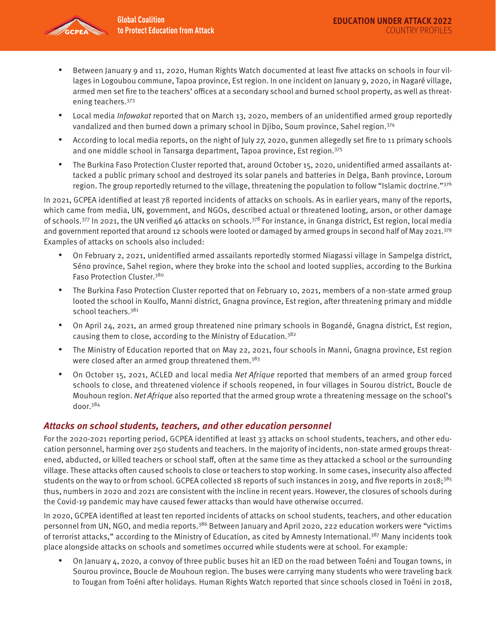

- Between January 9 and 11, 2020, Human Rights Watch documented at least five attacks on schools in four villages in Logoubou commune, Tapoa province, Est region. In one incident on January 9, 2020, in Nagaré village, armed men set fire to the teachers' offices at a secondary school and burned school property, as well as threatening teachers.373
- Local media *Infowakat* reported that on March 13, 2020, members of an unidentified armed group reportedly vandalized and then burned down a primary school in Djibo, Soum province, Sahel region.374
- According to local media reports, on the night of July 27, 2020, gunmen allegedly set fire to 11 primary schools and one middle school in Tansarga department, Tapoa province, Est region.375
- The Burkina Faso Protection Cluster reported that, around October 15, 2020, unidentified armed assailants attacked a public primary school and destroyed its solar panels and batteries in Delga, Banh province, Loroum region. The group reportedly returned to the village, threatening the population to follow "Islamic doctrine."376

In 2021, GCPEA identified at least 78 reported incidents of attacks on schools. As in earlier years, many of the reports, which came from media, UN, government, and NGOs, described actual or threatened looting, arson, or other damage of schools.<sup>377</sup> In 2021, the UN verified 46 attacks on schools.<sup>378</sup> For instance, in Gnanga district, Est region, local media and government reported that around 12 schools were looted or damaged by armed groups in second half of May 2021.<sup>379</sup> Examples of attacks on schools also included:

- On February 2, 2021, unidentified armed assailants reportedly stormed Niagassi village in Sampelga district, Séno province, Sahel region, where they broke into the school and looted supplies, according to the Burkina Faso Protection Cluster.380
- The Burkina Faso Protection Cluster reported that on February 10, 2021, members of a non-state armed group looted the school in Koulfo, Manni district, Gnagna province, Est region, after threatening primary and middle school teachers.<sup>381</sup>
- On April 24, 2021, an armed group threatened nine primary schools in Bogandé, Gnagna district, Est region, causing them to close, according to the Ministry of Education.382
- The Ministry of Education reported that on May 22, 2021, four schools in Manni, Gnagna province, Est region were closed after an armed group threatened them.<sup>383</sup>
- On October 15, 2021, ACLED and local media Net Afrique reported that members of an armed group forced schools to close, and threatened violence if schools reopened, in four villages in Sourou district, Boucle de Mouhoun region. Net Afrique also reported that the armed group wrote a threatening message on the school's door.384

### **Attacks on school students, teachers, and other education personnel**

For the 2020-2021 reporting period, GCPEA identified at least 33 attacks on school students, teachers, and other education personnel, harming over 250 students and teachers. In the majority of incidents, non-state armed groups threatened, abducted, or killed teachers or school staff, often at the same time as they attacked a school or the surrounding village. These attacks often caused schools to close or teachers to stop working. In some cases, insecurity also affected students on the way to or from school. GCPEA collected 18 reports of such instances in 2019, and five reports in 2018;<sup>385</sup> thus, numbers in 2020 and 2021 are consistent with the incline in recent years. However, the closures of schools during the Covid-19 pandemic may have caused fewer attacks than would have otherwise occurred.

In 2020, GCPEA identified at least ten reported incidents of attacks on school students, teachers, and other education personnel from UN, NGO, and media reports.386 Between January and April 2020, 222 education workers were "victims of terrorist attacks," according to the Ministry of Education, as cited by Amnesty International.<sup>387</sup> Many incidents took place alongside attacks on schools and sometimes occurred while students were at school. For example:

• On January 4, 2020, a convoy of three public buses hit an IED on the road between Toéni and Tougan towns, in Sourou province, Boucle de Mouhoun region. The buses were carrying many students who were traveling back to Tougan from Toéni after holidays. Human Rights Watch reported that since schools closed in Toéni in 2018,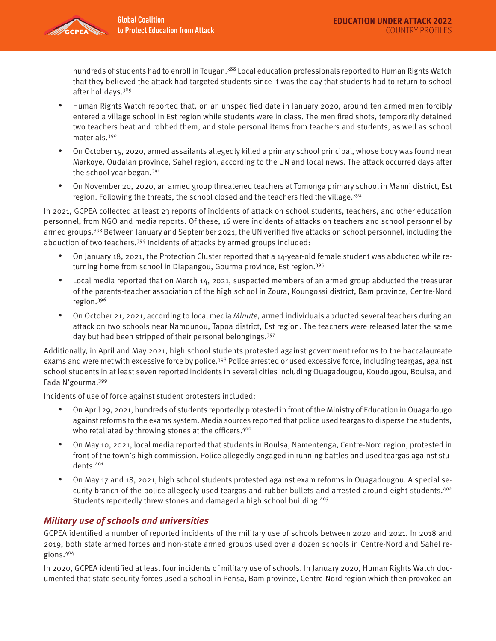

hundreds of students had to enroll in Tougan.<sup>388</sup> Local education professionals reported to Human Rights Watch that they believed the attack had targeted students since it was the day that students had to return to school after holidays.389

- Human Rights Watch reported that, on an unspecified date in January 2020, around ten armed men forcibly entered a village school in Est region while students were in class. The men fired shots, temporarily detained two teachers beat and robbed them, and stole personal items from teachers and students, as well as school materials.390
- On October 15, 2020, armed assailants allegedly killed a primary school principal, whose body was found near Markoye, Oudalan province, Sahel region, according to the UN and local news. The attack occurred days after the school year began.391
- On November 20, 2020, an armed group threatened teachers at Tomonga primary school in Manni district, Est region. Following the threats, the school closed and the teachers fled the village.<sup>392</sup>

In 2021, GCPEA collected at least 23 reports of incidents of attack on school students, teachers, and other education personnel, from NGO and media reports. Of these, 16 were incidents of attacks on teachers and school personnel by armed groups.<sup>393</sup> Between January and September 2021, the UN verified five attacks on school personnel, including the abduction of two teachers.394 Incidents of attacks by armed groups included:

- On January 18, 2021, the Protection Cluster reported that a 14-year-old female student was abducted while returning home from school in Diapangou, Gourma province, Est region.395
- Local media reported that on March 14, 2021, suspected members of an armed group abducted the treasurer of the parents-teacher association of the high school in Zoura, Koungossi district, Bam province, Centre-Nord region.396
- On October 21, 2021, according to local media Minute, armed individuals abducted several teachers during an attack on two schools near Namounou, Tapoa district, Est region. The teachers were released later the same day but had been stripped of their personal belongings.<sup>397</sup>

Additionally, in April and May 2021, high school students protested against government reforms to the baccalaureate exams and were met with excessive force by police.<sup>398</sup> Police arrested or used excessive force, including teargas, against school students in at least seven reported incidents in several cities including Ouagadougou, Koudougou, Boulsa, and Fada N'gourma.399

Incidents of use of force against student protesters included:

- On April 29, 2021, hundreds of students reportedly protested in front of the Ministry of Education in Ouagadougo against reforms to the exams system. Media sources reported that police used teargas to disperse the students, who retaliated by throwing stones at the officers.<sup>400</sup>
- On May 10, 2021, local media reported that students in Boulsa, Namentenga, Centre-Nord region, protested in front of the town's high commission. Police allegedly engaged in running battles and used teargas against students.401
- On May 17 and 18, 2021, high school students protested against exam reforms in Ouagadougou. A special security branch of the police allegedly used teargas and rubber bullets and arrested around eight students.<sup>402</sup> Students reportedly threw stones and damaged a high school building.<sup>403</sup>

# **Military use of schools and universities**

GCPEA identified a number of reported incidents of the military use of schools between 2020 and 2021. In 2018 and 2019, both state armed forces and non-state armed groups used over a dozen schools in Centre-Nord and Sahel regions.404

In 2020, GCPEA identified at least four incidents of military use of schools. In January 2020, Human Rights Watch documented that state security forces used a school in Pensa, Bam province, Centre-Nord region which then provoked an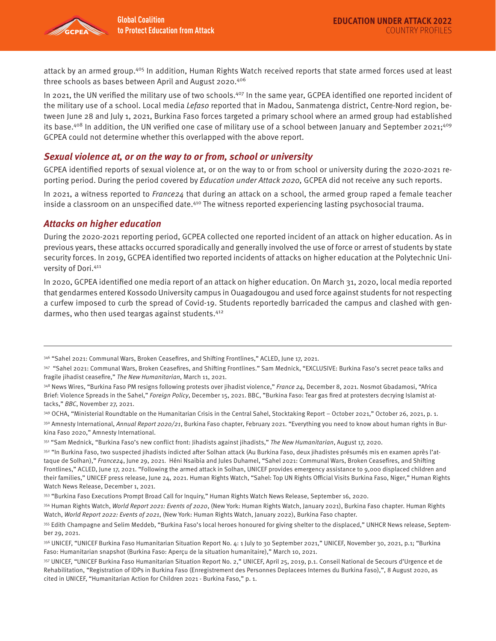

attack by an armed group.<sup>405</sup> In addition, Human Rights Watch received reports that state armed forces used at least three schools as bases between April and August 2020.406

In 2021, the UN verified the military use of two schools.<sup>407</sup> In the same year, GCPEA identified one reported incident of the military use of a school. Local media Lefaso reported that in Madou, Sanmatenga district, Centre-Nord region, between June 28 and July 1, 2021, Burkina Faso forces targeted a primary school where an armed group had established its base.<sup>408</sup> In addition, the UN verified one case of military use of a school between January and September 2021;<sup>409</sup> GCPEA could not determine whether this overlapped with the above report.

### **Sexual violence at, or on the way to or from, school or university**

GCPEA identified reports of sexual violence at, or on the way to or from school or university during the 2020-2021 reporting period. During the period covered by Education under Attack 2020, GCPEA did not receive any such reports.

In 2021, a witness reported to France24 that during an attack on a school, the armed group raped a female teacher inside a classroom on an unspecified date.<sup>410</sup> The witness reported experiencing lasting psychosocial trauma.

### **Attacks on higher education**

During the 2020-2021 reporting period, GCPEA collected one reported incident of an attack on higher education. As in previous years, these attacks occurred sporadically and generally involved the use of force or arrest of students by state security forces. In 2019, GCPEA identified two reported incidents of attacks on higher education at the Polytechnic University of Dori.411

In 2020, GCPEA identified one media report of an attack on higher education. On March 31, 2020, local media reported that gendarmes entered Kossodo University campus in Ouagadougou and used force against students for not respecting a curfew imposed to curb the spread of Covid-19. Students reportedly barricaded the campus and clashed with gendarmes, who then used teargas against students.412

<sup>346</sup> ["Sahel 2021: Communal Wars, Broken Ceasefires, and Shifting Frontlines,](https://weshare.unicef.org/archive/-2AMZIFHIJAKO.html)" ACLED, June 17, 2021.

<sup>347</sup> ["Sahel 2021: Communal Wars, Broken Ceasefires, and Shifting Frontlines.](https://acleddata.com/2021/06/17/sahel-2021-communal-wars-broken-ceasefires-and-shifting-frontlines/)" Sam Mednick, "EXCLUSIVE: Burkina Faso's secret peace talks and fragile jihadist ceasefire," The New Humanitarian, March 11, 2021.

<sup>348</sup> News Wires, "Burkina Faso PM resigns following protests over jihadist violence," France 24, December 8, 2021. Nosmot Gbadamosi, "Africa Brief: Violence Spreads in the Sahel," Foreign Policy, December 15, 2021. BBC, "Burkina Faso: Tear gas fired at protesters decrying Islamist attacks," BBC, November 27, 2021.

<sup>349</sup> OCHA, "Ministerial Roundtable on the Humanitarian Crisis in the Central Sahel, Stocktaking Report - October 2021," October 26, 2021, p. 1.

<sup>350</sup> Amnesty International, Annual Report 2020/21, Burkina Faso chapter, February 2021. "Everything you need to know about human rights in Burkina Faso 2020," Amnesty International.

<sup>351 &</sup>quot;Sam Mednick, "Burkina Faso's new conflict front: lihadists against jihadists," The New Humanitarian, August 17, 2020.

<sup>352 &</sup>quot;In Burkina Faso, two suspected jihadists indicted after Solhan attack (Au Burkina Faso, deux jihadistes présumés mis en examen après l'attaque de Solhan)," France24, June 29, 2021. Héni Nsaibia and Jules Duhamel, "Sahel 2021: Communal Wars, Broken Ceasefires, and Shifting [Frontlines,](https://weshare.unicef.org/archive/-2AMZIFR7K4PX.html)" ACLED, June 17, 2021. "Following the armed attack in Solhan, UNICEF provides emergency assistance to 9,000 displaced children and their families," UNICEF press release, June 24, 2021. Human Rights Watch, "Sahel: Top UN Rights Official Visits Burkina Faso, Niger," Human Rights Watch News Release, December 1, 2021.

<sup>353 &</sup>quot;Burkina Faso Executions Prompt Broad Call for Inquiry," Human Rights Watch News Release, September 16, 2020.

<sup>354</sup> Human Rights Watch, World Report 2021: Events of 2020, (New York: Human Rights Watch, January 2021), Burkina Faso chapter. Human Rights Watch, World Report 2022: Events of 2021, (New York: Human Rights Watch, January 2022), Burkina Faso chapter.

<sup>355</sup> Edith Champagne and Selim Meddeb, "Burkina Faso's local heroes honoured for giving shelter to the displaced," UNHCR News release, September 29, 2021.

<sup>356</sup> UNICEF, "UNICEF Burkina Faso Humanitarian Situation Report No. 4: 1 July to 30 September 2021," UNICEF, November 30, 2021, p.1; "Burkina Faso: Humanitarian snapshot (Burkina Faso: Aperçu de la situation humanitaire)," March 10, 2021.

<sup>357</sup> UNICEF, "UNICEF Burkina Faso Humanitarian Situation Report No. 2," UNICEF, April 25, 2019, p.1. Conseil National de Secours d'Urgence et de Rehabilitation, "Registration of IDPs in Burkina Faso (Enregistrement des Personnes Deplacees Internes du Burkina Faso),", 8 August 2020, as cited in UNICEF, "Humanitarian Action for Children 2021 - Burkina Faso," p. 1.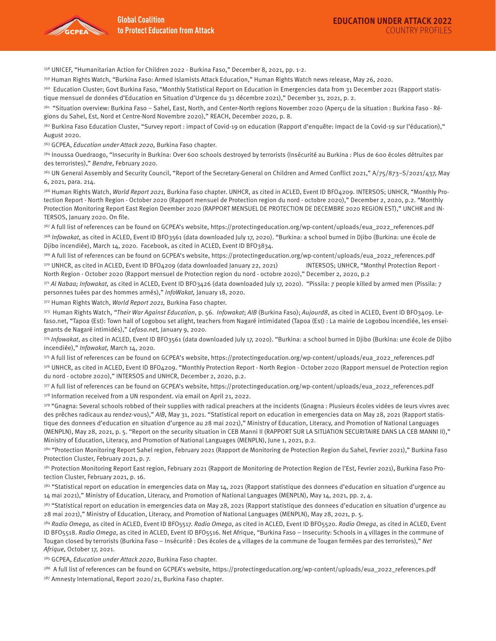

358 UNICEF, "Humanitarian Action for Children 2022 - Burkina Faso," December 8, 2021, pp. 1-2.

359 Human Rights Watch, "Burkina Faso: Armed Islamists Attack Education," Human Rights Watch news release, May 26, 2020.

360 Education Cluster; Govt Burkina Faso, "Monthly Statistical Report on Education in Emergencies data from 31 December 2021 (Rapport statistique mensuel de données d'Education en Situation d'Urgence du 31 décembre 2021)," December 31, 2021, p. 2.

361 "Situation overview: Burkina Faso - Sahel, East, North, and Center-North regions November 2020 (Aperçu de la situation : Burkina Faso - Régions du Sahel, Est, Nord et Centre-Nord Novembre 2020)," REACH, December 2020, p. 8.

<sup>362</sup> Burkina Faso Education Cluster, "Survey report : impact of Covid-19 on education (Rapport d'enquête: Impact de la Covid-19 sur l'éducation)," August 2020.

363 GCPEA, *Education under Attack 2020*, Burkina Faso chapter.

364 Inoussa Ouedraogo, "Insecurity in Burkina: Over 600 schools destroyed by terrorists (Insécurité au Burkina : Plus de 600 écoles détruites par des terroristes)," Bendre, February 2020.

<sup>365</sup> UN General Assembly and Security Council, "Report of the Secretary-General on Children and Armed Conflict 2021," A/75/873-S/2021/437, May 6, 2021, para. 214.

366 Human Rights Watch, World Report 2021, Burkina Faso chapter. UNHCR, as cited in ACLED, Event ID BFO4209. INTERSOS; UNHCR, "Monthly Protection Report - North Region - October 2020 (Rapport mensuel de Protection region du nord - octobre 2020)," December 2, 2020, p.2. "Monthly Protection Monitoring Report East Region Deember 2020 (RAPPORT MENSUEL DE PROTECTION DE DECEMBRE 2020 REGION EST)," UNCHR and IN-TERSOS, January 2020. On file.

367 A full list of references can be found on GCPEA's website, https://protectingeducation.org/wp-content/uploads/eua\_2022\_references.pdf 368 Infowakat, as cited in ACLED, Event ID BFO3561 (data downloaded July 17, 2020). "Burkina: a school burned in Djibo (Burkina: une école de Djibo incendiée), March 14, 2020. Facebook, as cited in ACLED, Event ID BFO3834.

369 A full list of references can be found on GCPEA's website, https://protectingeducation.org/wp-content/uploads/eua\_2022\_references.pdf 370 UNHCR, as cited in ACLED, Event ID BFO4209 (data downloaded January 22, 2021) INTERSOS; UNHCR, "Monthyl Protection Report - North Region - October 2020 (Rapport mensuel de Protection region du nord - octobre 2020)," December 2, 2020, p.2

371 Al Nabaa; Infowakat, as cited in ACLED, Event ID BFO3426 (data downloaded July 17, 2020). "Pissila: 7 people killed by armed men (Pissila: 7 personnes tuées par des hommes armés)," InfoWakat, January 18, 2020.

372 Human Rights Watch, World Report 2021, Burkina Faso chapter.

373 Human Rights Watch, "Their War Against Education, p. 56. Infowakat; AIB (Burkina Faso); Aujourd8, as cited in ACLED, Event ID BFO3409. Lefaso.net, "Tapoa (Est): Town hall of Logobou set alight, teachers from Nagaré intimidated (Tapoa (Est) : La mairie de Logobou incendiée, les enseignants de Nagaré intimidés)," Lefaso.net, January 9, 2020.

374 Infowakat, as cited in ACLED, Event ID BFO3561 (data downloaded July 17, 2020). "Burkina: a school burned in Djibo (Burkina: une école de Djibo incendiée)," Infowakat, March 14, 2020.

375 A full list of references can be found on GCPEA's website, [https://protectingeducation.org/wp-content/uploads/eua\\_2022\\_references.pdf](https://timesofindia.indiatimes.com/india/tripura-police-used-water-cannon-tear-gas-to-disperse-teachers-protesting-near-cms-residence/articleshow/80484910.cms) 

376 UNHCR, as cited in ACLED, Event ID BFO4209. "Monthly Protection Report - North Region - October 2020 (Rapport mensuel de Protection region du nord - octobre 2020)," INTERSOS and UNHCR, December 2, 2020, p.2.

377 A full list of references can be found on GCPEA's website, https://protectingeducation.org/wp-content/uploads/eua\_2022\_references.pdf 378 Information received from a UN respondent. via email on April 21, 2022.

379 "Gnagna: Several schools robbed of their supplies with radical preachers at the incidents (Gnagna : Plusieurs écoles vidées de leurs vivres avec des prêches radicaux au rendez-vous)," AIB, May 31, 2021. "Statistical report on education in emergencies data on May 28, 2021 (Rapport statistique des donnees d'education en situation d'urgence au 28 mai 2021)," Ministry of Education, Literacy, and Promotion of National Languages (MENPLN), May 28, 2021, p. 5. "Report on the security situation in CEB Manni II (RAPPORT SUR LA SITUATION SECURITAIRE DANS LA CEB MANNI II)," Ministry of Education, Literacy, and Promotion of National Languages (MENPLN), June 1, 2021, p.2.

380 "Protection Monitoring Report Sahel region, February 2021 (Rapport de Monitoring de Protection Region du Sahel, Fevrier 2021)," Burkina Faso Protection Cluster, February 2021, p. 7.

<sup>381</sup> Protection Monitoring Report East region, February 2021 (Rapport de Monitoring de Protection Region de l'Est, Fevrier 2021), Burkina Faso Protection Cluster, February 2021, p. 16.

<sup>382</sup> "Statistical report on education in emergencies data on May 14, 2021 (Rapport statistique des donnees d'education en situation d'urgence au 14 mai 2021)," Ministry of Education, Literacy, and Promotion of National Languages (MENPLN), May 14, 2021, pp. 2, 4.

383 "Statistical report on education in emergencies data on May 28, 2021 (Rapport statistique des donnees d'education en situation d'urgence au 28 mai 2021)," Ministry of Education, Literacy, and Promotion of National Languages (MENPLN), May 28, 2021, p. 5.

384 Radio Omega, as cited in ACLED, Event ID BFO5517. Radio Omega, as cited in ACLED, Event ID BFO5520. Radio Omega, as cited in ACLED, Event ID BFO5518. Radio Omega, as cited in ACLED, Event ID BFO5516. Net Afrique, "Burkina Faso - Insecurity: Schools in 4 villages in the commune of Tougan closed by terrorists (Burkina Faso – Insécurité : Des écoles de 4 villages de la commune de Tougan fermées par des terroristes)," Net Afrique, October 17, 2021.

385 GCPEA, Education under Attack 2020, Burkina Faso chapter.

386 A full list of references can be found on GCPEA's website, [https://protectingeducation.org/wp-content/uploads/eua\\_2022\\_references.pdf](https://www.hrw.org/news/2021/09/08/lessons-war)

387 Amnesty International, Report 2020/21, Burkina Faso chapter.